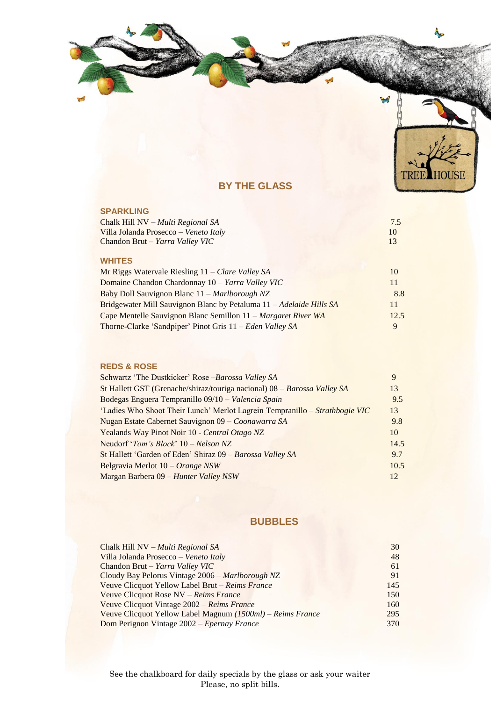



# **BY THE GLASS**

#### **SPARKLING**

| Chalk Hill NV – Multi Regional SA     | 7.5 |
|---------------------------------------|-----|
| Villa Jolanda Prosecco – Veneto Italy | 10  |
| Chandon Brut – Yarra Valley VIC       | 13  |
|                                       |     |
| <b>WHITES</b>                         |     |

| Mr Riggs Watervale Riesling 11 – Clare Valley SA                    | 10   |
|---------------------------------------------------------------------|------|
| Domaine Chandon Chardonnay 10 – Yarra Valley VIC                    | 11   |
| Baby Doll Sauvignon Blanc 11 – Marlborough NZ                       | 8.8  |
| Bridgewater Mill Sauvignon Blanc by Petaluma 11 – Adelaide Hills SA | 11   |
| Cape Mentelle Sauvignon Blanc Semillon 11 – Margaret River WA       | 12.5 |
| Thorne-Clarke 'Sandpiper' Pinot Gris 11 – Eden Valley SA            |      |

## **REDS & ROSE**

| Schwartz 'The Dustkicker' Rose-Barossa Valley SA                            | 9    |
|-----------------------------------------------------------------------------|------|
| St Hallett GST (Grenache/shiraz/touriga nacional) 08 - Barossa Valley SA    | 13   |
| Bodegas Enguera Tempranillo 09/10 - Valencia Spain                          | 9.5  |
| 'Ladies Who Shoot Their Lunch' Merlot Lagrein Tempranillo – Strathbogie VIC | 13   |
| Nugan Estate Cabernet Sauvignon 09 - Coonawarra SA                          | 9.8  |
| Yealands Way Pinot Noir 10 - Central Otago NZ                               | 10   |
| Neudorf ' <i>Tom's Block</i> ' $10 - Nelson NZ$                             | 14.5 |
| St Hallett 'Garden of Eden' Shiraz 09 – Barossa Valley SA                   | 9.7  |
| Belgravia Merlot 10 – Orange NSW                                            | 10.5 |
| Margan Barbera 09 - Hunter Valley NSW                                       | 12   |
|                                                                             |      |

# **BUBBLES**

| Chalk Hill NV $-Multi$ Regional SA                         | 30  |
|------------------------------------------------------------|-----|
| Villa Jolanda Prosecco - Veneto Italy                      | 48  |
| Chandon Brut - Yarra Valley VIC                            | 61  |
| Cloudy Bay Pelorus Vintage 2006 - Marlborough NZ           | 91  |
| Veuve Clicquot Yellow Label Brut - Reims France            | 145 |
| Veuve Clicquot Rose NV - Reims France                      | 150 |
| Veuve Clicquot Vintage 2002 – Reims France                 | 160 |
| Veuve Clicquot Yellow Label Magnum (1500ml) – Reims France | 295 |
| Dom Perignon Vintage 2002 – Epernay France                 | 370 |
|                                                            |     |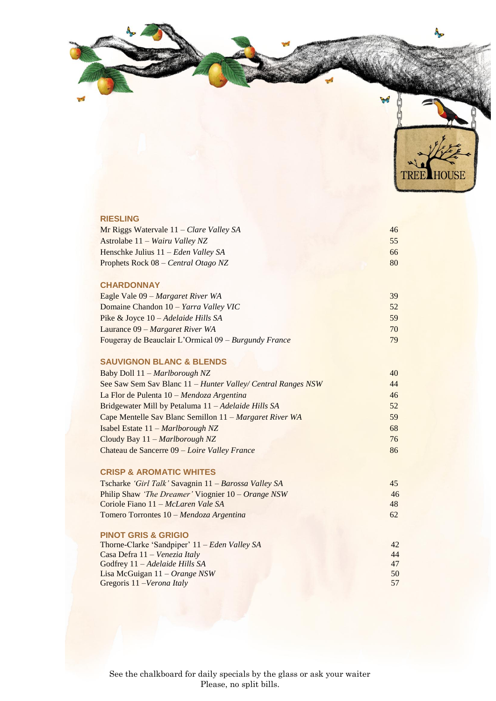

# Mr Riggs Watervale 11 *– Clare Valley SA* 46 Astrolabe 11 – *Wairu Valley NZ* 55 Henschke Julius 11 *– Eden Valley SA* 66 Prophets Rock 08 – *Central Otago NZ* 80

#### **CHARDONNAY**

**RIESLING** 

| Eagle Vale 09 – Margaret River WA                      | 39 |
|--------------------------------------------------------|----|
| Domaine Chandon 10 – Yarra Valley VIC                  | 52 |
| Pike & Joyce $10 - Adelaide$ Hills SA                  | 59 |
| Laurance $09$ – Margaret River WA                      | 70 |
| Fougeray de Beauclair L'Ormical $09 - Burgundy$ France | 79 |

#### **SAUVIGNON BLANC & BLENDS**

| Baby Doll 11 - Marlborough NZ                                | 40 |
|--------------------------------------------------------------|----|
| See Saw Sem Sav Blanc 11 – Hunter Valley/ Central Ranges NSW | 44 |
| La Flor de Pulenta 10 – Mendoza Argentina                    | 46 |
| Bridgewater Mill by Petaluma 11 – Adelaide Hills SA          | 52 |
| Cape Mentelle Sav Blanc Semillon 11 – Margaret River WA      | 59 |
| Isabel Estate $11 - \text{Marlborough } NZ$                  | 68 |
| Cloudy Bay $11 - \text{Marlborough } NZ$                     | 76 |
| Chateau de Sancerre 09 – Loire Valley France                 | 86 |
|                                                              |    |

## **CRISP & AROMATIC WHITES**

| Tscharke <i>'Girl Talk'</i> Savagnin 11 – Barossa Valley SA       | 45 |  |
|-------------------------------------------------------------------|----|--|
| Philip Shaw <i>The Dreamer'</i> Viognier $10 - Orange$ <i>NSW</i> | 46 |  |
| Coriole Fiano 11 – McLaren Vale SA                                | 48 |  |
| Tomero Torrontes 10 – Mendoza Argentina                           | 62 |  |

#### **PINOT GRIS & GRIGIO**

| 42 |
|----|
| 44 |
| 47 |
| 50 |
| 57 |
|    |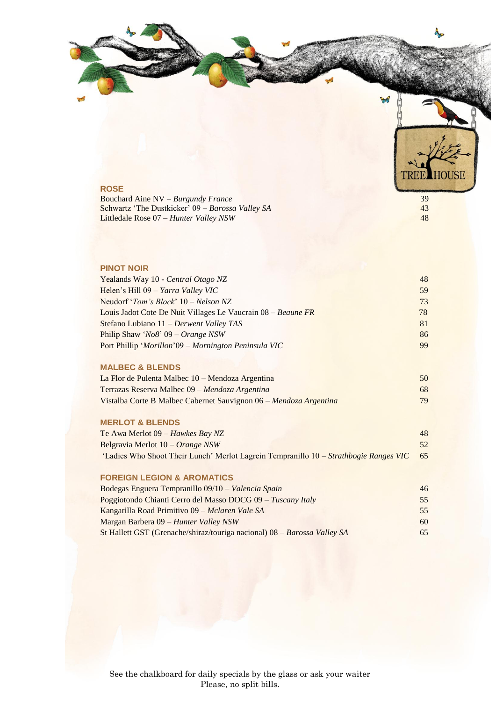



## **ROSE**

Bouchard Aine NV – *Burgundy France* 39 Schwartz 'The Dustkicker' 09 – *Barossa Valley SA* 43 Littledale Rose 07 *– Hunter Valley NSW* 48

# **PINOT NOIR**

| Yealands Way 10 - Central Otago NZ                                | 48 |
|-------------------------------------------------------------------|----|
| Helen's Hill 09 - Yarra Valley VIC                                | 59 |
| Neudorf ' <i>Tom</i> 's <i>Block</i> ' $10 - Nelson NZ$           | 73 |
| Louis Jadot Cote De Nuit Villages Le Vaucrain 08 – Beaune FR      | 78 |
| Stefano Lubiano 11 – Derwent Valley TAS                           | 81 |
| Philip Shaw 'No8' $09 - Orange$ NSW                               | 86 |
| Port Phillip 'Morillon'09 – Mornington Peninsula VIC              | 99 |
|                                                                   |    |
| <b>MALBEC &amp; BLENDS</b>                                        |    |
| La Flor de Pulenta Malbec 10 – Mendoza Argentina                  | 50 |
| Terrazas Reserva Malbec 09 – Mendoza Argentina                    | 68 |
| Vistalba Corte B Malbec Cabernet Sauvignon 06 – Mendoza Argentina | 79 |
|                                                                   |    |
| <b>MERLOT &amp; BLENDS</b>                                        |    |

| Te Awa Merlot 09 – Hawkes Bay NZ                                                      | 48 |
|---------------------------------------------------------------------------------------|----|
| Belgravia Merlot 10 – Orange NSW                                                      | 52 |
| 'Ladies Who Shoot Their Lunch' Merlot Lagrein Tempranillo 10 – Strathbogie Ranges VIC | 65 |

#### **FOREIGN LEGION & AROMATICS**

| Bodegas Enguera Tempranillo 09/10 - Valencia Spain                       | 46 |
|--------------------------------------------------------------------------|----|
| Poggiotondo Chianti Cerro del Masso DOCG 09 – Tuscany Italy              | 55 |
| Kangarilla Road Primitivo 09 – Mclaren Vale SA                           | 55 |
| Margan Barbera 09 – Hunter Valley NSW                                    | 60 |
| St Hallett GST (Grenache/shiraz/touriga nacional) 08 – Barossa Valley SA | 65 |